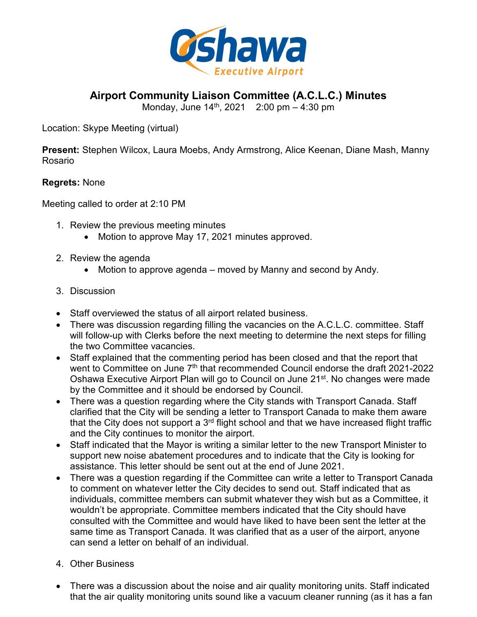

**Airport Community Liaison Committee (A.C.L.C.) Minutes**

Monday, June  $14^{th}$ , 2021 2:00 pm  $-$  4:30 pm

Location: Skype Meeting (virtual)

**Present:** Stephen Wilcox, Laura Moebs, Andy Armstrong, Alice Keenan, Diane Mash, Manny Rosario

## **Regrets:** None

Meeting called to order at 2:10 PM

- 1. Review the previous meeting minutes
	- Motion to approve May 17, 2021 minutes approved.
- 2. Review the agenda
	- Motion to approve agenda moved by Manny and second by Andy.
- 3. Discussion
- Staff overviewed the status of all airport related business.
- There was discussion regarding filling the vacancies on the A.C.L.C. committee. Staff will follow-up with Clerks before the next meeting to determine the next steps for filling the two Committee vacancies.
- Staff explained that the commenting period has been closed and that the report that went to Committee on June 7<sup>th</sup> that recommended Council endorse the draft 2021-2022 Oshawa Executive Airport Plan will go to Council on June 21<sup>st</sup>. No changes were made by the Committee and it should be endorsed by Council.
- There was a question regarding where the City stands with Transport Canada. Staff clarified that the City will be sending a letter to Transport Canada to make them aware that the City does not support a 3<sup>rd</sup> flight school and that we have increased flight traffic and the City continues to monitor the airport.
- Staff indicated that the Mayor is writing a similar letter to the new Transport Minister to support new noise abatement procedures and to indicate that the City is looking for assistance. This letter should be sent out at the end of June 2021.
- There was a question regarding if the Committee can write a letter to Transport Canada to comment on whatever letter the City decides to send out. Staff indicated that as individuals, committee members can submit whatever they wish but as a Committee, it wouldn't be appropriate. Committee members indicated that the City should have consulted with the Committee and would have liked to have been sent the letter at the same time as Transport Canada. It was clarified that as a user of the airport, anyone can send a letter on behalf of an individual.
- 4. Other Business
- There was a discussion about the noise and air quality monitoring units. Staff indicated that the air quality monitoring units sound like a vacuum cleaner running (as it has a fan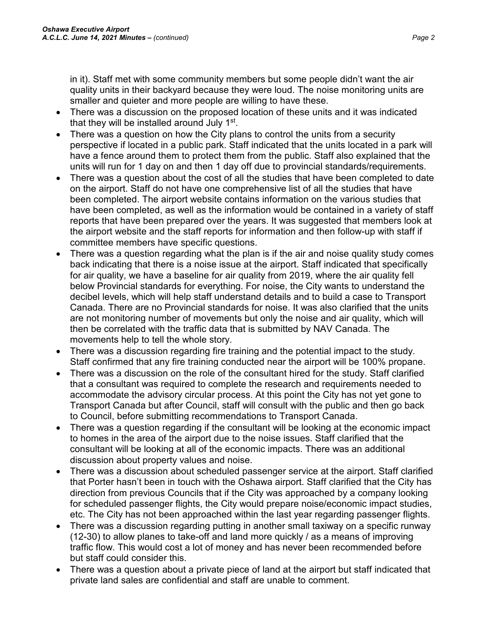in it). Staff met with some community members but some people didn't want the air quality units in their backyard because they were loud. The noise monitoring units are smaller and quieter and more people are willing to have these.

- There was a discussion on the proposed location of these units and it was indicated that they will be installed around July 1<sup>st</sup>.
- There was a question on how the City plans to control the units from a security perspective if located in a public park. Staff indicated that the units located in a park will have a fence around them to protect them from the public. Staff also explained that the units will run for 1 day on and then 1 day off due to provincial standards/requirements.
- There was a question about the cost of all the studies that have been completed to date on the airport. Staff do not have one comprehensive list of all the studies that have been completed. The airport website contains information on the various studies that have been completed, as well as the information would be contained in a variety of staff reports that have been prepared over the years. It was suggested that members look at the airport website and the staff reports for information and then follow-up with staff if committee members have specific questions.
- There was a question regarding what the plan is if the air and noise quality study comes back indicating that there is a noise issue at the airport. Staff indicated that specifically for air quality, we have a baseline for air quality from 2019, where the air quality fell below Provincial standards for everything. For noise, the City wants to understand the decibel levels, which will help staff understand details and to build a case to Transport Canada. There are no Provincial standards for noise. It was also clarified that the units are not monitoring number of movements but only the noise and air quality, which will then be correlated with the traffic data that is submitted by NAV Canada. The movements help to tell the whole story.
- There was a discussion regarding fire training and the potential impact to the study. Staff confirmed that any fire training conducted near the airport will be 100% propane.
- There was a discussion on the role of the consultant hired for the study. Staff clarified that a consultant was required to complete the research and requirements needed to accommodate the advisory circular process. At this point the City has not yet gone to Transport Canada but after Council, staff will consult with the public and then go back to Council, before submitting recommendations to Transport Canada.
- There was a question regarding if the consultant will be looking at the economic impact to homes in the area of the airport due to the noise issues. Staff clarified that the consultant will be looking at all of the economic impacts. There was an additional discussion about property values and noise.
- There was a discussion about scheduled passenger service at the airport. Staff clarified that Porter hasn't been in touch with the Oshawa airport. Staff clarified that the City has direction from previous Councils that if the City was approached by a company looking for scheduled passenger flights, the City would prepare noise/economic impact studies, etc. The City has not been approached within the last year regarding passenger flights.
- There was a discussion regarding putting in another small taxiway on a specific runway (12-30) to allow planes to take-off and land more quickly / as a means of improving traffic flow. This would cost a lot of money and has never been recommended before but staff could consider this.
- There was a question about a private piece of land at the airport but staff indicated that private land sales are confidential and staff are unable to comment.